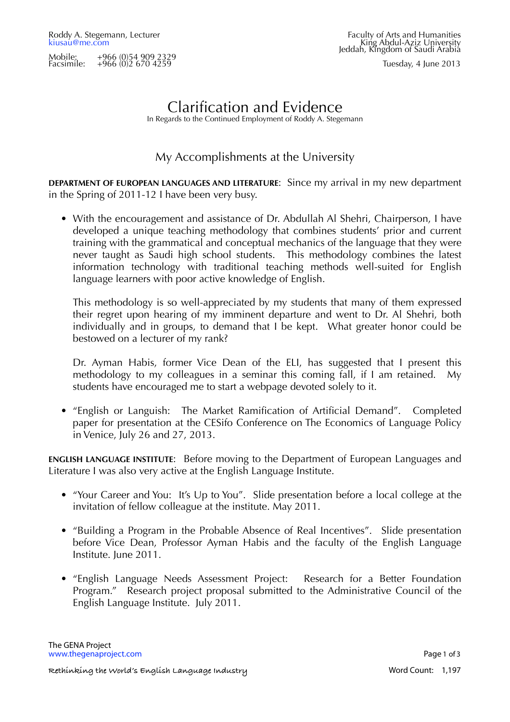Mobile: +966 (0)54 909 2329 Facsimile: +966 (0)2 670 4259 Tuesday, 4 June 2013

# Clarification and Evidence

In Regards to the Continued Employment of Roddy A. Stegemann

### My Accomplishments at the University

**DEPARTMENT OF EUROPEAN LANGUAGES AND LITERATURE**: Since my arrival in my new department in the Spring of 2011-12 I have been very busy.

• With the encouragement and assistance of Dr. Abdullah Al Shehri, Chairperson, I have developed a unique teaching methodology that combines students' prior and current training with the grammatical and conceptual mechanics of the language that they were never taught as Saudi high school students. This methodology combines the latest information technology with traditional teaching methods well-suited for English language learners with poor active knowledge of English.

This methodology is so well-appreciated by my students that many of them expressed their regret upon hearing of my imminent departure and went to Dr. Al Shehri, both individually and in groups, to demand that I be kept. What greater honor could be bestowed on a lecturer of my rank?

Dr. Ayman Habis, former Vice Dean of the ELI, has suggested that I present this methodology to my colleagues in a seminar this coming fall, if I am retained. My students have encouraged me to start a webpage devoted solely to it.

• "English or Languish: The Market Ramification of Artificial Demand". Completed paper for presentation at the CESifo Conference on The Economics of Language Policy in Venice, July 26 and 27, 2013.

**ENGLISH LANGUAGE INSTITUTE**: Before moving to the Department of European Languages and Literature I was also very active at the English Language Institute.

- "Your Career and You: It's Up to You". Slide presentation before a local college at the invitation of fellow colleague at the institute. May 2011.
- "Building a Program in the Probable Absence of Real Incentives". Slide presentation before Vice Dean, Professor Ayman Habis and the faculty of the English Language Institute. June 2011.
- "English Language Needs Assessment Project: Research for a Better Foundation Program." Research project proposal submitted to the Administrative Council of the English Language Institute. July 2011.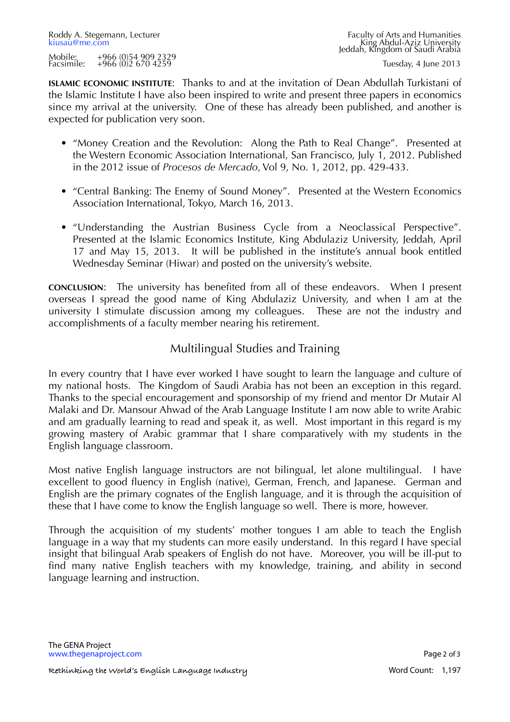**ISLAMIC ECONOMIC INSTITUTE**: Thanks to and at the invitation of Dean Abdullah Turkistani of the Islamic Institute I have also been inspired to write and present three papers in economics since my arrival at the university. One of these has already been published, and another is expected for publication very soon.

- "Money Creation and the Revolution: Along the Path to Real Change". Presented at the Western Economic Association International, San Francisco, July 1, 2012. Published in the 2012 issue of *Procesos de Mercado*, Vol 9, No. 1, 2012, pp. 429-433.
- "Central Banking: The Enemy of Sound Money". Presented at the Western Economics Association International, Tokyo, March 16, 2013.
- "Understanding the Austrian Business Cycle from a Neoclassical Perspective". Presented at the Islamic Economics Institute, King Abdulaziz University, Jeddah, April 17 and May 15, 2013. It will be published in the institute's annual book entitled Wednesday Seminar (Hiwar) and posted on the university's website.

**CONCLUSION**: The university has benefited from all of these endeavors. When I present overseas I spread the good name of King Abdulaziz University, and when I am at the university I stimulate discussion among my colleagues. These are not the industry and accomplishments of a faculty member nearing his retirement.

## Multilingual Studies and Training

In every country that I have ever worked I have sought to learn the language and culture of my national hosts. The Kingdom of Saudi Arabia has not been an exception in this regard. Thanks to the special encouragement and sponsorship of my friend and mentor Dr Mutair Al Malaki and Dr. Mansour Ahwad of the Arab Language Institute I am now able to write Arabic and am gradually learning to read and speak it, as well. Most important in this regard is my growing mastery of Arabic grammar that I share comparatively with my students in the English language classroom.

Most native English language instructors are not bilingual, let alone multilingual. I have excellent to good fluency in English (native), German, French, and Japanese. German and English are the primary cognates of the English language, and it is through the acquisition of these that I have come to know the English language so well. There is more, however.

Through the acquisition of my students' mother tongues I am able to teach the English language in a way that my students can more easily understand. In this regard I have special insight that bilingual Arab speakers of English do not have. Moreover, you will be ill-put to find many native English teachers with my knowledge, training, and ability in second language learning and instruction.